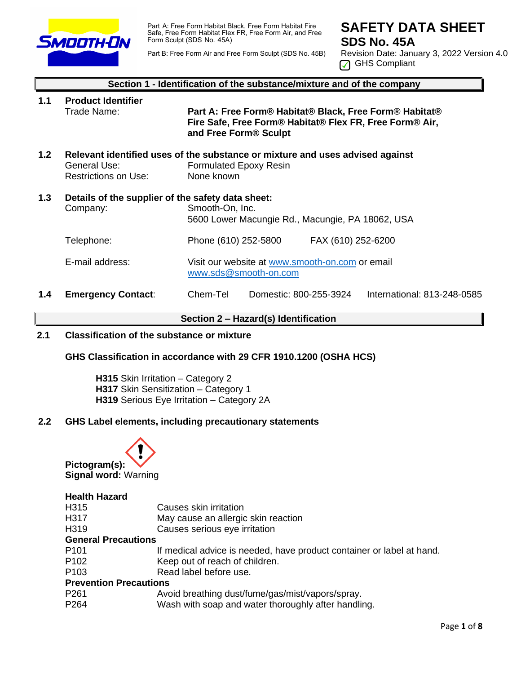

Part A: Free Form Habitat Black, Free Form Habitat Fire Safe, Free Form Habitat Flex FR, Free Form Air, and Free Form Sculpt (SDS No. 45A)

Part B: Free Form Air and Free Form Sculpt (SDS No. 45B)

# **SAFETY DATA SHEET SDS No. 45A**

Revision Date: January 3, 2022 Version 4.0 **GHS** Compliant

|                  | Section 1 - Identification of the substance/mixture and of the company |                                                                                                                                                        |  |  |  |
|------------------|------------------------------------------------------------------------|--------------------------------------------------------------------------------------------------------------------------------------------------------|--|--|--|
| 1.1              | <b>Product Identifier</b><br>Trade Name:                               | Part A: Free Form® Habitat® Black, Free Form® Habitat®<br>Fire Safe, Free Form® Habitat® Flex FR, Free Form® Air,<br>and Free Form <sup>®</sup> Sculpt |  |  |  |
| 1.2 <sub>2</sub> | General Use:<br>Restrictions on Use:                                   | Relevant identified uses of the substance or mixture and uses advised against<br><b>Formulated Epoxy Resin</b><br>None known                           |  |  |  |
| 1.3              | Details of the supplier of the safety data sheet:<br>Company:          | Smooth-On, Inc.<br>5600 Lower Macungie Rd., Macungie, PA 18062, USA                                                                                    |  |  |  |
|                  | Telephone:                                                             | Phone (610) 252-5800<br>FAX (610) 252-6200                                                                                                             |  |  |  |
|                  | E-mail address:                                                        | Visit our website at www.smooth-on.com or email<br>www.sds@smooth-on.com                                                                               |  |  |  |
| 1.4              | <b>Emergency Contact:</b>                                              | Chem-Tel<br>Domestic: 800-255-3924<br>International: 813-248-0585                                                                                      |  |  |  |

#### **Section 2 – Hazard(s) Identification**

## **2.1 Classification of the substance or mixture**

#### **GHS Classification in accordance with 29 CFR 1910.1200 (OSHA HCS)**

**H315** Skin Irritation – Category 2 **H317** Skin Sensitization – Category 1 **H319** Serious Eye Irritation – Category 2A

## **2.2 GHS Label elements, including precautionary statements**



#### **Health Hazard**

- H317 May cause an allergic skin reaction
- H319 Causes serious eye irritation

#### **General Precautions**

- P101 If medical advice is needed, have product container or label at hand.
- P102 Keep out of reach of children.
- P103 Read label before use.

#### **Prevention Precautions**

- P261 Avoid breathing dust/fume/gas/mist/vapors/spray.
- P264 Wash with soap and water thoroughly after handling.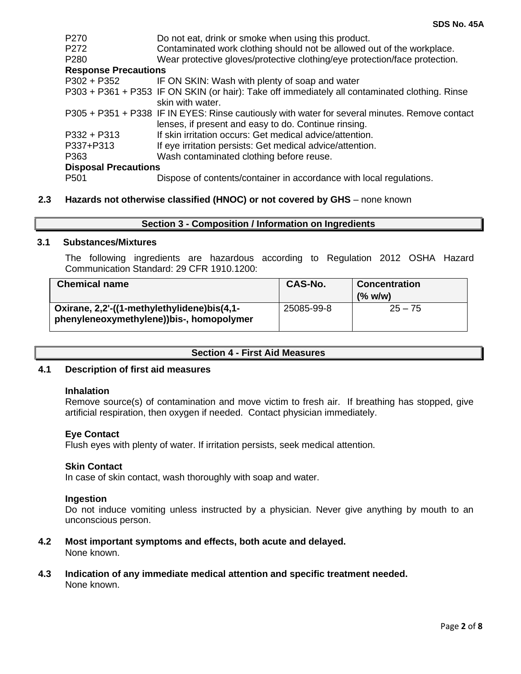| P <sub>270</sub><br>P <sub>272</sub> | Do not eat, drink or smoke when using this product.<br>Contaminated work clothing should not be allowed out of the workplace.                          |  |  |  |
|--------------------------------------|--------------------------------------------------------------------------------------------------------------------------------------------------------|--|--|--|
| P <sub>280</sub>                     | Wear protective gloves/protective clothing/eye protection/face protection.                                                                             |  |  |  |
| <b>Response Precautions</b>          |                                                                                                                                                        |  |  |  |
| $P302 + P352$                        | IF ON SKIN: Wash with plenty of soap and water                                                                                                         |  |  |  |
|                                      | P303 + P361 + P353 IF ON SKIN (or hair): Take off immediately all contaminated clothing. Rinse<br>skin with water.                                     |  |  |  |
|                                      | P305 + P351 + P338 IF IN EYES: Rinse cautiously with water for several minutes. Remove contact<br>lenses, if present and easy to do. Continue rinsing. |  |  |  |
| $P332 + P313$                        | If skin irritation occurs: Get medical advice/attention.                                                                                               |  |  |  |
| P337+P313                            | If eye irritation persists: Get medical advice/attention.                                                                                              |  |  |  |
| P363                                 | Wash contaminated clothing before reuse.                                                                                                               |  |  |  |
| <b>Disposal Precautions</b>          |                                                                                                                                                        |  |  |  |
| P <sub>501</sub>                     | Dispose of contents/container in accordance with local regulations.                                                                                    |  |  |  |

## **2.3 Hazards not otherwise classified (HNOC) or not covered by GHS** – none known

| Section 3 - Composition / Information on Ingredients |  |  |
|------------------------------------------------------|--|--|
|------------------------------------------------------|--|--|

#### **3.1 Substances/Mixtures**

The following ingredients are hazardous according to Regulation 2012 OSHA Hazard Communication Standard: 29 CFR 1910.1200:

| <b>Chemical name</b>                                                                    | <b>CAS-No.</b> | <b>Concentration</b><br>(% w/w) |
|-----------------------------------------------------------------------------------------|----------------|---------------------------------|
| Oxirane, 2,2'-((1-methylethylidene)bis(4,1-<br>phenyleneoxymethylene))bis-, homopolymer | 25085-99-8     | $25 - 75$                       |

#### **Section 4 - First Aid Measures**

#### **4.1 Description of first aid measures**

#### **Inhalation**

Remove source(s) of contamination and move victim to fresh air. If breathing has stopped, give artificial respiration, then oxygen if needed. Contact physician immediately.

#### **Eye Contact**

Flush eyes with plenty of water. If irritation persists, seek medical attention.

#### **Skin Contact**

In case of skin contact, wash thoroughly with soap and water.

#### **Ingestion**

Do not induce vomiting unless instructed by a physician. Never give anything by mouth to an unconscious person.

## **4.2 Most important symptoms and effects, both acute and delayed.**

None known.

#### **4.3 Indication of any immediate medical attention and specific treatment needed.** None known.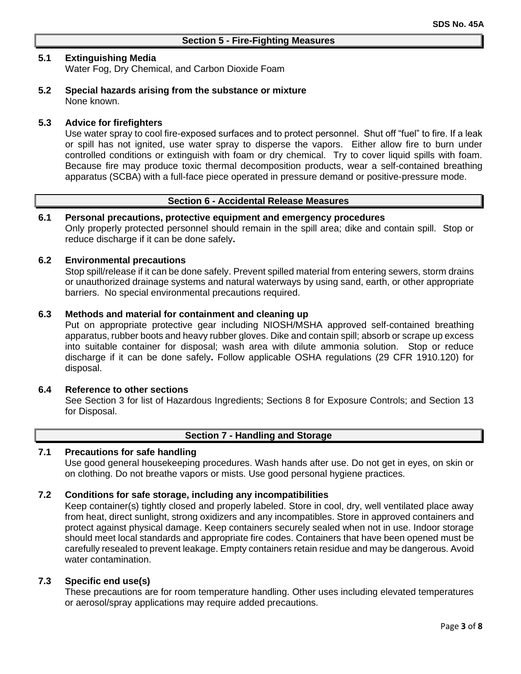## **5.1 Extinguishing Media**

Water Fog, Dry Chemical, and Carbon Dioxide Foam

**5.2 Special hazards arising from the substance or mixture** None known.

### **5.3 Advice for firefighters**

Use water spray to cool fire-exposed surfaces and to protect personnel. Shut off "fuel" to fire. If a leak or spill has not ignited, use water spray to disperse the vapors. Either allow fire to burn under controlled conditions or extinguish with foam or dry chemical. Try to cover liquid spills with foam. Because fire may produce toxic thermal decomposition products, wear a self-contained breathing apparatus (SCBA) with a full-face piece operated in pressure demand or positive-pressure mode.

## **Section 6 - Accidental Release Measures**

#### **6.1 Personal precautions, protective equipment and emergency procedures**

Only properly protected personnel should remain in the spill area; dike and contain spill. Stop or reduce discharge if it can be done safely**.**

#### **6.2 Environmental precautions**

Stop spill/release if it can be done safely. Prevent spilled material from entering sewers, storm drains or unauthorized drainage systems and natural waterways by using sand, earth, or other appropriate barriers.No special environmental precautions required.

#### **6.3 Methods and material for containment and cleaning up**

Put on appropriate protective gear including NIOSH/MSHA approved self-contained breathing apparatus, rubber boots and heavy rubber gloves. Dike and contain spill; absorb or scrape up excess into suitable container for disposal; wash area with dilute ammonia solution. Stop or reduce discharge if it can be done safely**.** Follow applicable OSHA regulations (29 CFR 1910.120) for disposal.

#### **6.4 Reference to other sections**

See Section 3 for list of Hazardous Ingredients; Sections 8 for Exposure Controls; and Section 13 for Disposal.

# **Section 7 - Handling and Storage**

#### **7.1 Precautions for safe handling**

Use good general housekeeping procedures. Wash hands after use. Do not get in eyes, on skin or on clothing. Do not breathe vapors or mists. Use good personal hygiene practices.

#### **7.2 Conditions for safe storage, including any incompatibilities**

Keep container(s) tightly closed and properly labeled. Store in cool, dry, well ventilated place away from heat, direct sunlight, strong oxidizers and any incompatibles. Store in approved containers and protect against physical damage. Keep containers securely sealed when not in use. Indoor storage should meet local standards and appropriate fire codes. Containers that have been opened must be carefully resealed to prevent leakage. Empty containers retain residue and may be dangerous. Avoid water contamination.

#### **7.3 Specific end use(s)**

These precautions are for room temperature handling. Other uses including elevated temperatures or aerosol/spray applications may require added precautions.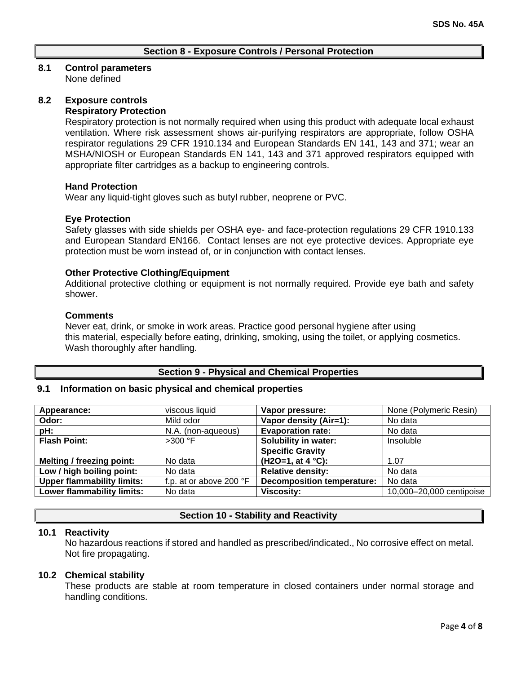## **Section 8 - Exposure Controls / Personal Protection**

# **8.1 Control parameters**

None defined

# **8.2 Exposure controls**

# **Respiratory Protection**

Respiratory protection is not normally required when using this product with adequate local exhaust ventilation. Where risk assessment shows air-purifying respirators are appropriate, follow OSHA respirator regulations 29 CFR 1910.134 and European Standards EN 141, 143 and 371; wear an MSHA/NIOSH or European Standards EN 141, 143 and 371 approved respirators equipped with appropriate filter cartridges as a backup to engineering controls.

#### **Hand Protection**

Wear any liquid-tight gloves such as butyl rubber, neoprene or PVC.

#### **Eye Protection**

Safety glasses with side shields per OSHA eye- and face-protection regulations 29 CFR 1910.133 and European Standard EN166. Contact lenses are not eye protective devices. Appropriate eye protection must be worn instead of, or in conjunction with contact lenses.

#### **Other Protective Clothing/Equipment**

Additional protective clothing or equipment is not normally required. Provide eye bath and safety shower.

#### **Comments**

Never eat, drink, or smoke in work areas. Practice good personal hygiene after using this material, especially before eating, drinking, smoking, using the toilet, or applying cosmetics. Wash thoroughly after handling.

# **Section 9 - Physical and Chemical Properties**

## **9.1 Information on basic physical and chemical properties**

| Appearance:                       | viscous liquid          | Vapor pressure:                   | None (Polymeric Resin)   |
|-----------------------------------|-------------------------|-----------------------------------|--------------------------|
| Odor:                             | Mild odor               | Vapor density (Air=1):            | No data                  |
| pH:                               | N.A. (non-aqueous)      | <b>Evaporation rate:</b>          | No data                  |
| <b>Flash Point:</b>               | $>300$ °F               | <b>Solubility in water:</b>       | Insoluble                |
|                                   |                         | <b>Specific Gravity</b>           |                          |
| Melting / freezing point:         | No data                 | $(H2O=1, at 4 °C):$               | 1.07                     |
| Low / high boiling point:         | No data                 | <b>Relative density:</b>          | No data                  |
| <b>Upper flammability limits:</b> | f.p. at or above 200 °F | <b>Decomposition temperature:</b> | No data                  |
| <b>Lower flammability limits:</b> | No data                 | <b>Viscosity:</b>                 | 10,000-20,000 centipoise |

#### **Section 10 - Stability and Reactivity**

#### **10.1 Reactivity**

No hazardous reactions if stored and handled as prescribed/indicated., No corrosive effect on metal. Not fire propagating.

#### **10.2 Chemical stability**

These products are stable at room temperature in closed containers under normal storage and handling conditions.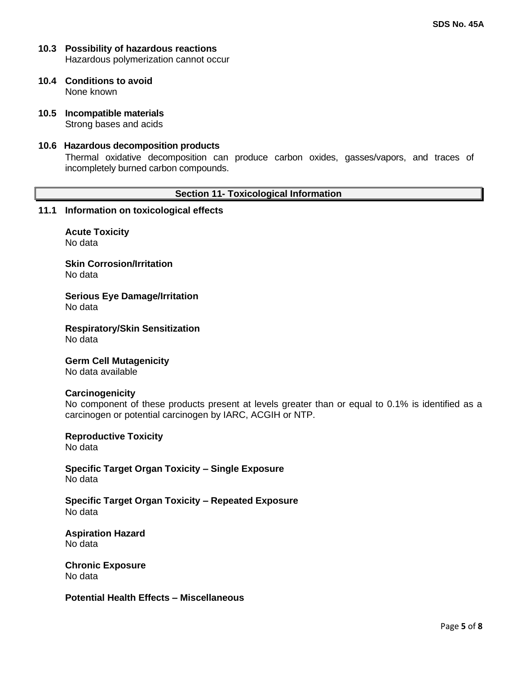- **10.3 Possibility of hazardous reactions** Hazardous polymerization cannot occur
- **10.4 Conditions to avoid** None known
- **10.5 Incompatible materials** Strong bases and acids
- **10.6 Hazardous decomposition products**

Thermal oxidative decomposition can produce carbon oxides, gasses/vapors, and traces of incompletely burned carbon compounds.

#### **Section 11- Toxicological Information**

#### **11.1 Information on toxicological effects**

**Acute Toxicity** No data

**Skin Corrosion/Irritation** No data

**Serious Eye Damage/Irritation** No data

**Respiratory/Skin Sensitization** No data

**Germ Cell Mutagenicity** No data available

#### **Carcinogenicity**

No component of these products present at levels greater than or equal to 0.1% is identified as a carcinogen or potential carcinogen by IARC, ACGIH or NTP.

**Reproductive Toxicity** No data

**Specific Target Organ Toxicity – Single Exposure** No data

**Specific Target Organ Toxicity – Repeated Exposure** No data

**Aspiration Hazard** No data

**Chronic Exposure** No data

**Potential Health Effects – Miscellaneous**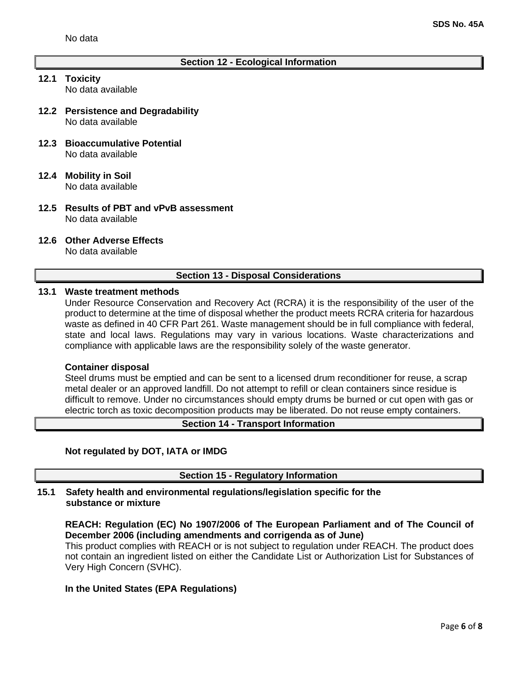## **Section 12 - Ecological Information**

- **12.1 Toxicity** No data available
- **12.2 Persistence and Degradability** No data available
- **12.3 Bioaccumulative Potential** No data available
- **12.4 Mobility in Soil** No data available
- **12.5 Results of PBT and vPvB assessment** No data available
- **12.6 Other Adverse Effects**

No data available

#### **Section 13 - Disposal Considerations**

#### **13.1 Waste treatment methods**

Under Resource Conservation and Recovery Act (RCRA) it is the responsibility of the user of the product to determine at the time of disposal whether the product meets RCRA criteria for hazardous waste as defined in 40 CFR Part 261. Waste management should be in full compliance with federal, state and local laws. Regulations may vary in various locations. Waste characterizations and compliance with applicable laws are the responsibility solely of the waste generator.

#### **Container disposal**

Steel drums must be emptied and can be sent to a licensed drum reconditioner for reuse, a scrap metal dealer or an approved landfill. Do not attempt to refill or clean containers since residue is difficult to remove. Under no circumstances should empty drums be burned or cut open with gas or electric torch as toxic decomposition products may be liberated. Do not reuse empty containers.

## **Section 14 - Transport Information**

### **Not regulated by DOT, IATA or IMDG**

**Section 15 - Regulatory Information**

## **15.1 Safety health and environmental regulations/legislation specific for the substance or mixture**

**REACH: Regulation (EC) No 1907/2006 of The European Parliament and of The Council of December 2006 (including amendments and corrigenda as of June)**

This product complies with REACH or is not subject to regulation under REACH. The product does not contain an ingredient listed on either the Candidate List or Authorization List for Substances of Very High Concern (SVHC).

# **In the United States (EPA Regulations)**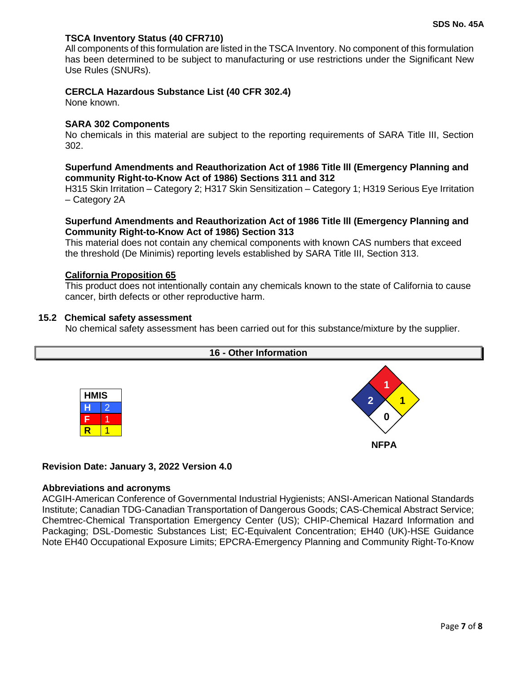## **TSCA Inventory Status (40 CFR710)**

All components of this formulation are listed in the TSCA Inventory. No component of this formulation has been determined to be subject to manufacturing or use restrictions under the Significant New Use Rules (SNURs).

#### **CERCLA Hazardous Substance List (40 CFR 302.4)**

None known.

#### **SARA 302 Components**

No chemicals in this material are subject to the reporting requirements of SARA Title III, Section 302.

#### **Superfund Amendments and Reauthorization Act of 1986 Title lll (Emergency Planning and community Right-to-Know Act of 1986) Sections 311 and 312**

H315 Skin Irritation – Category 2; H317 Skin Sensitization – Category 1; H319 Serious Eye Irritation – Category 2A

#### **Superfund Amendments and Reauthorization Act of 1986 Title lll (Emergency Planning and Community Right-to-Know Act of 1986) Section 313**

This material does not contain any chemical components with known CAS numbers that exceed the threshold (De Minimis) reporting levels established by SARA Title III, Section 313.

#### **California Proposition 65**

This product does not intentionally contain any chemicals known to the state of California to cause cancer, birth defects or other reproductive harm.

#### **15.2 Chemical safety assessment**

No chemical safety assessment has been carried out for this substance/mixture by the supplier.



#### **Revision Date: January 3, 2022 Version 4.0**

#### **Abbreviations and acronyms**

ACGIH-American Conference of Governmental Industrial Hygienists; ANSI-American National Standards Institute; Canadian TDG-Canadian Transportation of Dangerous Goods; CAS-Chemical Abstract Service; Chemtrec-Chemical Transportation Emergency Center (US); CHIP-Chemical Hazard Information and Packaging; DSL-Domestic Substances List; EC-Equivalent Concentration; EH40 (UK)-HSE Guidance Note EH40 Occupational Exposure Limits; EPCRA-Emergency Planning and Community Right-To-Know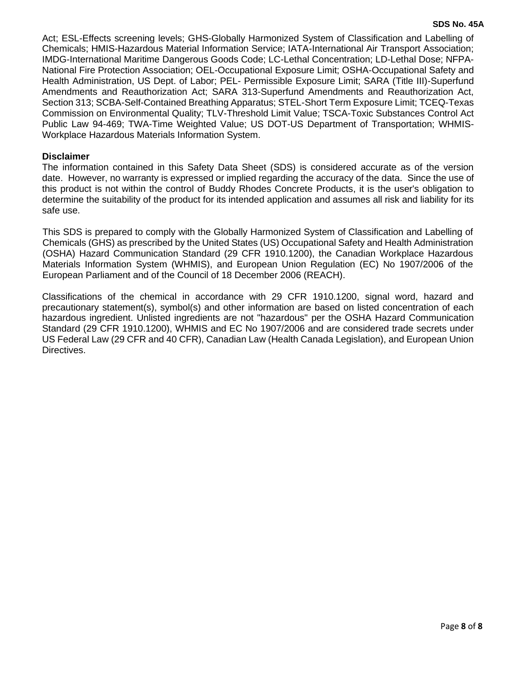Act; ESL-Effects screening levels; GHS-Globally Harmonized System of Classification and Labelling of Chemicals; HMIS-Hazardous Material Information Service; IATA-International Air Transport Association; IMDG-International Maritime Dangerous Goods Code; LC-Lethal Concentration; LD-Lethal Dose; NFPA-National Fire Protection Association; OEL-Occupational Exposure Limit; OSHA-Occupational Safety and Health Administration, US Dept. of Labor; PEL- Permissible Exposure Limit; SARA (Title III)-Superfund Amendments and Reauthorization Act; SARA 313-Superfund Amendments and Reauthorization Act, Section 313; SCBA-Self-Contained Breathing Apparatus; STEL-Short Term Exposure Limit; TCEQ-Texas Commission on Environmental Quality; TLV-Threshold Limit Value; TSCA-Toxic Substances Control Act Public Law 94-469; TWA-Time Weighted Value; US DOT-US Department of Transportation; WHMIS-Workplace Hazardous Materials Information System.

## **Disclaimer**

The information contained in this Safety Data Sheet (SDS) is considered accurate as of the version date. However, no warranty is expressed or implied regarding the accuracy of the data. Since the use of this product is not within the control of Buddy Rhodes Concrete Products, it is the user's obligation to determine the suitability of the product for its intended application and assumes all risk and liability for its safe use.

This SDS is prepared to comply with the Globally Harmonized System of Classification and Labelling of Chemicals (GHS) as prescribed by the United States (US) Occupational Safety and Health Administration (OSHA) Hazard Communication Standard (29 CFR 1910.1200), the Canadian Workplace Hazardous Materials Information System (WHMIS), and European Union Regulation (EC) No 1907/2006 of the European Parliament and of the Council of 18 December 2006 (REACH).

Classifications of the chemical in accordance with 29 CFR 1910.1200, signal word, hazard and precautionary statement(s), symbol(s) and other information are based on listed concentration of each hazardous ingredient. Unlisted ingredients are not "hazardous" per the OSHA Hazard Communication Standard (29 CFR 1910.1200), WHMIS and EC No 1907/2006 and are considered trade secrets under US Federal Law (29 CFR and 40 CFR), Canadian Law (Health Canada Legislation), and European Union Directives.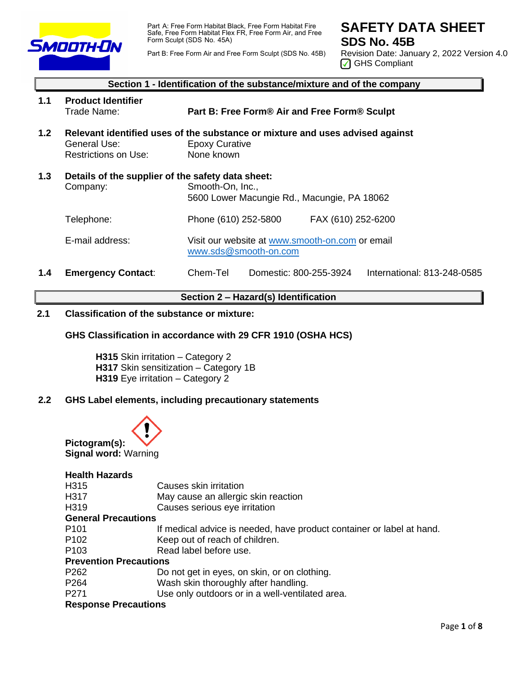

Part A: Free Form Habitat Black, Free Form Habitat Fire Safe, Free Form Habitat Flex FR, Free Form Air, and Free Form Sculpt (SDS No. 45A)

**SAFETY DATA SHEET SDS No. 45B**

Part B: Free Form Air and Free Form Sculpt (SDS No. 45B)

Revision Date: January 2, 2022 Version 4.0 GHS Compliant

# **Section 1 - Identification of the substance/mixture and of the company 1.1 Product Identifier** Trade Name: **Part B: Free Form® Air and Free Form® Sculpt 1.2 Relevant identified uses of the substance or mixture and uses advised against**  General Use: Epoxy Curative<br>
Restrictions on Use: None known Restrictions on Use: **1.3 Details of the supplier of the safety data sheet:** Company: Smooth-On, Inc., 5600 Lower Macungie Rd., Macungie, PA 18062 Telephone: Phone (610) 252-5800 FAX (610) 252-6200 E-mail address: Visit our website at [www.smooth-on.com](http://www.smooth-on.com/) or email [www.sds@smooth-on.com](http://www.sds@smooth-on.com) **1.4 Emergency Contact**: Chem-Tel Domestic: 800-255-3924 International: 813-248-0585

#### **Section 2 – Hazard(s) Identification**

## **2.1 Classification of the substance or mixture:**

#### **GHS Classification in accordance with 29 CFR 1910 (OSHA HCS)**

**H315** Skin irritation – Category 2 **H317** Skin sensitization – Category 1B **H319** Eye irritation – Category 2

#### **2.2 GHS Label elements, including precautionary statements**



# **Health Hazards**

| H315                          | Causes skin irritation                                                |
|-------------------------------|-----------------------------------------------------------------------|
| H317                          | May cause an allergic skin reaction                                   |
| H319                          | Causes serious eye irritation                                         |
| <b>General Precautions</b>    |                                                                       |
| P <sub>101</sub>              | If medical advice is needed, have product container or label at hand. |
| P <sub>102</sub>              | Keep out of reach of children.                                        |
| P <sub>103</sub>              | Read label before use.                                                |
| <b>Prevention Precautions</b> |                                                                       |
| P262                          | Do not get in eyes, on skin, or on clothing.                          |
| P <sub>264</sub>              | Wash skin thoroughly after handling.                                  |
| P271                          | Use only outdoors or in a well-ventilated area.                       |
| Desnanas Draasufiana          |                                                                       |

#### **Response Precautions**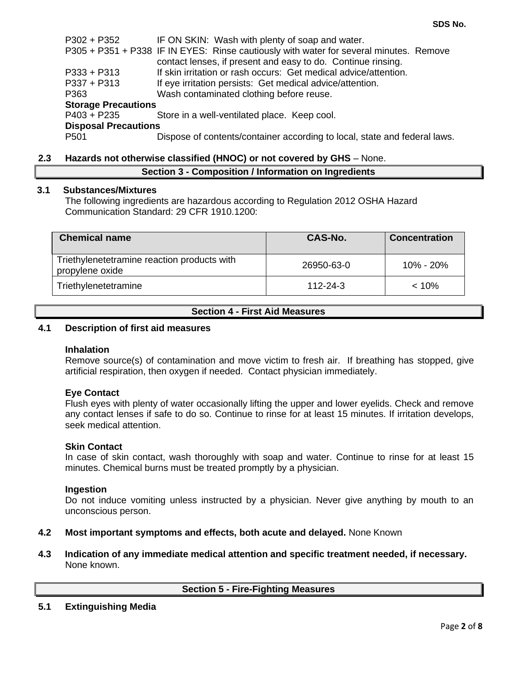P302 + P352 IF ON SKIN: Wash with plenty of soap and water. P305 + P351 + P338 IF IN EYES: Rinse cautiously with water for several minutes. Remove contact lenses, if present and easy to do. Continue rinsing. P333 + P313 If skin irritation or rash occurs: Get medical advice/attention. P337 + P313 If eye irritation persists: Get medical advice/attention. P363 Wash contaminated clothing before reuse. **Storage Precautions** P403 + P235 Store in a well-ventilated place. Keep cool. **Disposal Precautions** P501 Dispose of contents/container according to local, state and federal laws.

## **2.3 Hazards not otherwise classified (HNOC) or not covered by GHS** – None.

## **Section 3 - Composition / Information on Ingredients**

#### **3.1 Substances/Mixtures**

The following ingredients are hazardous according to Regulation 2012 OSHA Hazard Communication Standard: 29 CFR 1910.1200:

| <b>Chemical name</b>                                           | CAS-No.        | <b>Concentration</b> |
|----------------------------------------------------------------|----------------|----------------------|
| Triethylenetetramine reaction products with<br>propylene oxide | 26950-63-0     | $10\% - 20\%$        |
| Triethylenetetramine                                           | $112 - 24 - 3$ | $< 10\%$             |

## **Section 4 - First Aid Measures**

### **4.1 Description of first aid measures**

#### **Inhalation**

Remove source(s) of contamination and move victim to fresh air. If breathing has stopped, give artificial respiration, then oxygen if needed. Contact physician immediately.

#### **Eye Contact**

Flush eyes with plenty of water occasionally lifting the upper and lower eyelids. Check and remove any contact lenses if safe to do so. Continue to rinse for at least 15 minutes. If irritation develops, seek medical attention.

#### **Skin Contact**

In case of skin contact, wash thoroughly with soap and water. Continue to rinse for at least 15 minutes. Chemical burns must be treated promptly by a physician.

#### **Ingestion**

Do not induce vomiting unless instructed by a physician. Never give anything by mouth to an unconscious person.

#### **4.2 Most important symptoms and effects, both acute and delayed.** None Known

**4.3 Indication of any immediate medical attention and specific treatment needed, if necessary.** None known.

**Section 5 - Fire-Fighting Measures**

#### **5.1 Extinguishing Media**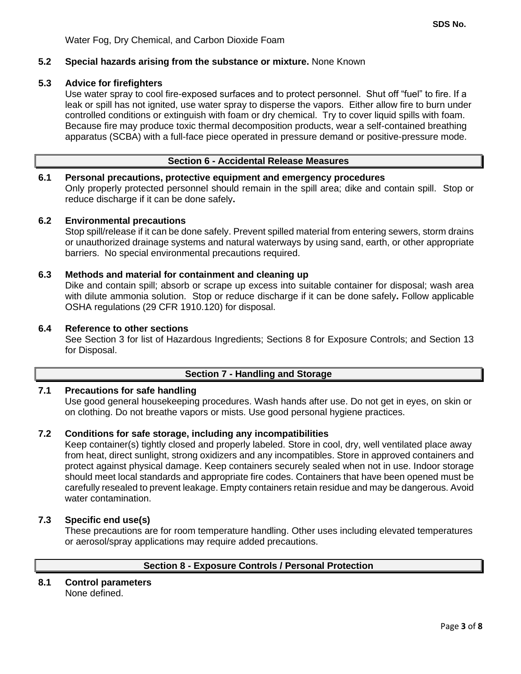## **5.2 Special hazards arising from the substance or mixture.** None Known

### **5.3 Advice for firefighters**

Use water spray to cool fire-exposed surfaces and to protect personnel. Shut off "fuel" to fire. If a leak or spill has not ignited, use water spray to disperse the vapors. Either allow fire to burn under controlled conditions or extinguish with foam or dry chemical. Try to cover liquid spills with foam. Because fire may produce toxic thermal decomposition products, wear a self-contained breathing apparatus (SCBA) with a full-face piece operated in pressure demand or positive-pressure mode.

#### **Section 6 - Accidental Release Measures**

#### **6.1 Personal precautions, protective equipment and emergency procedures**

Only properly protected personnel should remain in the spill area; dike and contain spill. Stop or reduce discharge if it can be done safely**.**

#### **6.2 Environmental precautions**

Stop spill/release if it can be done safely. Prevent spilled material from entering sewers, storm drains or unauthorized drainage systems and natural waterways by using sand, earth, or other appropriate barriers.No special environmental precautions required.

#### **6.3 Methods and material for containment and cleaning up**

Dike and contain spill; absorb or scrape up excess into suitable container for disposal; wash area with dilute ammonia solution. Stop or reduce discharge if it can be done safely**.** Follow applicable OSHA regulations (29 CFR 1910.120) for disposal.

#### **6.4 Reference to other sections**

See Section 3 for list of Hazardous Ingredients; Sections 8 for Exposure Controls; and Section 13 for Disposal.

#### **Section 7 - Handling and Storage**

## **7.1 Precautions for safe handling**

Use good general housekeeping procedures. Wash hands after use. Do not get in eyes, on skin or on clothing. Do not breathe vapors or mists. Use good personal hygiene practices.

#### **7.2 Conditions for safe storage, including any incompatibilities**

Keep container(s) tightly closed and properly labeled. Store in cool, dry, well ventilated place away from heat, direct sunlight, strong oxidizers and any incompatibles. Store in approved containers and protect against physical damage. Keep containers securely sealed when not in use. Indoor storage should meet local standards and appropriate fire codes. Containers that have been opened must be carefully resealed to prevent leakage. Empty containers retain residue and may be dangerous. Avoid water contamination.

## **7.3 Specific end use(s)**

These precautions are for room temperature handling. Other uses including elevated temperatures or aerosol/spray applications may require added precautions.

#### **Section 8 - Exposure Controls / Personal Protection**

#### **8.1 Control parameters** None defined.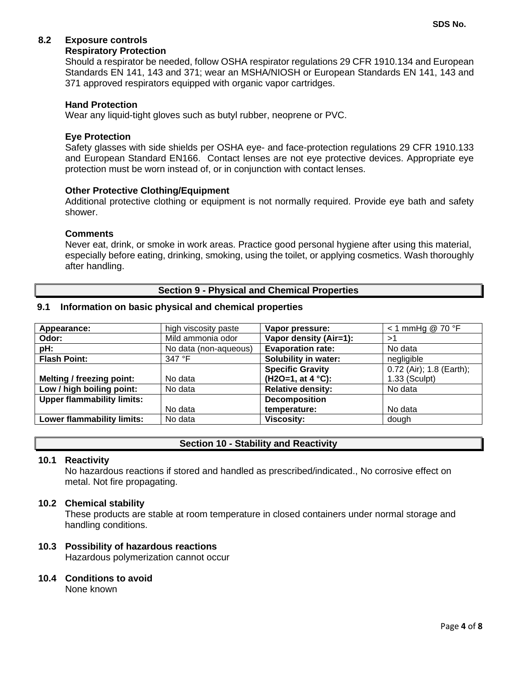# **8.2 Exposure controls**

### **Respiratory Protection**

Should a respirator be needed, follow OSHA respirator regulations 29 CFR 1910.134 and European Standards EN 141, 143 and 371; wear an MSHA/NIOSH or European Standards EN 141, 143 and 371 approved respirators equipped with organic vapor cartridges.

## **Hand Protection**

Wear any liquid-tight gloves such as butyl rubber, neoprene or PVC.

## **Eye Protection**

Safety glasses with side shields per OSHA eye- and face-protection regulations 29 CFR 1910.133 and European Standard EN166. Contact lenses are not eye protective devices. Appropriate eye protection must be worn instead of, or in conjunction with contact lenses.

## **Other Protective Clothing/Equipment**

Additional protective clothing or equipment is not normally required. Provide eye bath and safety shower.

#### **Comments**

Never eat, drink, or smoke in work areas. Practice good personal hygiene after using this material, especially before eating, drinking, smoking, using the toilet, or applying cosmetics. Wash thoroughly after handling.

#### **Section 9 - Physical and Chemical Properties**

#### **9.1 Information on basic physical and chemical properties**

| Appearance:                       | high viscosity paste  | Vapor pressure:             | $<$ 1 mmHg @ 70 °F       |
|-----------------------------------|-----------------------|-----------------------------|--------------------------|
| Odor:                             | Mild ammonia odor     | Vapor density (Air=1):      | >1                       |
| pH:                               | No data (non-aqueous) | <b>Evaporation rate:</b>    | No data                  |
| <b>Flash Point:</b>               | 347 °F                | <b>Solubility in water:</b> | negligible               |
|                                   |                       | <b>Specific Gravity</b>     | 0.72 (Air); 1.8 (Earth); |
| Melting / freezing point:         | No data               | $(H2O=1, at 4 °C):$         | 1.33 (Sculpt)            |
| Low / high boiling point:         | No data               | <b>Relative density:</b>    | No data                  |
| <b>Upper flammability limits:</b> |                       | <b>Decomposition</b>        |                          |
|                                   | No data               | temperature:                | No data                  |
| Lower flammability limits:        | No data               | <b>Viscosity:</b>           | dough                    |

## **Section 10 - Stability and Reactivity**

#### **10.1 Reactivity**

No hazardous reactions if stored and handled as prescribed/indicated., No corrosive effect on metal. Not fire propagating.

#### **10.2 Chemical stability**

These products are stable at room temperature in closed containers under normal storage and handling conditions.

#### **10.3 Possibility of hazardous reactions**

Hazardous polymerization cannot occur

#### **10.4 Conditions to avoid**

None known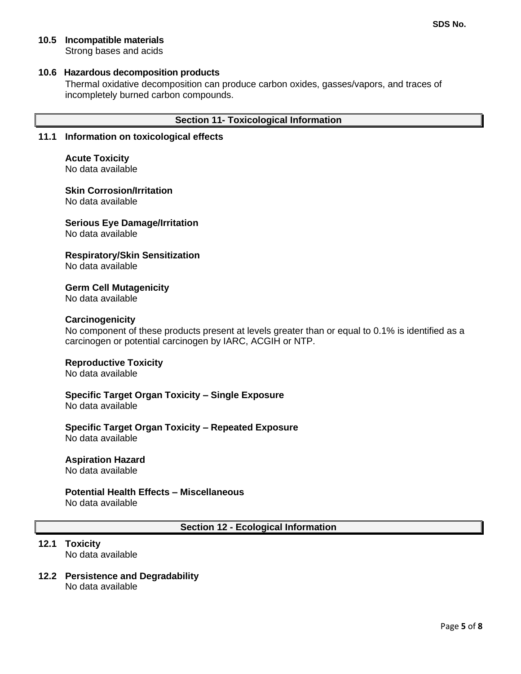## **10.5 Incompatible materials**

Strong bases and acids

### **10.6 Hazardous decomposition products**

Thermal oxidative decomposition can produce carbon oxides, gasses/vapors, and traces of incompletely burned carbon compounds.

## **Section 11- Toxicological Information**

### **11.1 Information on toxicological effects**

**Acute Toxicity** No data available

**Skin Corrosion/Irritation**

No data available

# **Serious Eye Damage/Irritation**

No data available

## **Respiratory/Skin Sensitization**

No data available

## **Germ Cell Mutagenicity**

No data available

## **Carcinogenicity**

No component of these products present at levels greater than or equal to 0.1% is identified as a carcinogen or potential carcinogen by IARC, ACGIH or NTP.

#### **Reproductive Toxicity**

No data available

## **Specific Target Organ Toxicity – Single Exposure**

No data available

#### **Specific Target Organ Toxicity – Repeated Exposure** No data available

#### **Aspiration Hazard**

No data available

## **Potential Health Effects – Miscellaneous**

No data available

### **Section 12 - Ecological Information**

# **12.1 Toxicity**

No data available

#### **12.2 Persistence and Degradability** No data available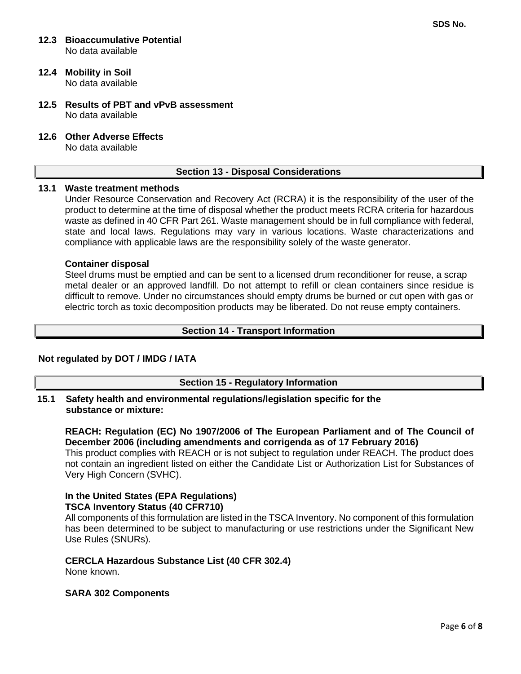#### **12.3 Bioaccumulative Potential** No data available

## **12.4 Mobility in Soil**

No data available

- **12.5 Results of PBT and vPvB assessment** No data available
- **12.6 Other Adverse Effects**

No data available

## **Section 13 - Disposal Considerations**

## **13.1 Waste treatment methods**

Under Resource Conservation and Recovery Act (RCRA) it is the responsibility of the user of the product to determine at the time of disposal whether the product meets RCRA criteria for hazardous waste as defined in 40 CFR Part 261. Waste management should be in full compliance with federal, state and local laws. Regulations may vary in various locations. Waste characterizations and compliance with applicable laws are the responsibility solely of the waste generator.

#### **Container disposal**

Steel drums must be emptied and can be sent to a licensed drum reconditioner for reuse, a scrap metal dealer or an approved landfill. Do not attempt to refill or clean containers since residue is difficult to remove. Under no circumstances should empty drums be burned or cut open with gas or electric torch as toxic decomposition products may be liberated. Do not reuse empty containers.

#### **Section 14 - Transport Information**

#### **Not regulated by DOT / IMDG / IATA**

#### **Section 15 - Regulatory Information**

**15.1 Safety health and environmental regulations/legislation specific for the substance or mixture:**

**REACH: Regulation (EC) No 1907/2006 of The European Parliament and of The Council of December 2006 (including amendments and corrigenda as of 17 February 2016)** This product complies with REACH or is not subject to regulation under REACH. The product does not contain an ingredient listed on either the Candidate List or Authorization List for Substances of Very High Concern (SVHC).

#### **In the United States (EPA Regulations) TSCA Inventory Status (40 CFR710)**

All components of this formulation are listed in the TSCA Inventory. No component of this formulation has been determined to be subject to manufacturing or use restrictions under the Significant New Use Rules (SNURs).

#### **CERCLA Hazardous Substance List (40 CFR 302.4)**

None known.

#### **SARA 302 Components**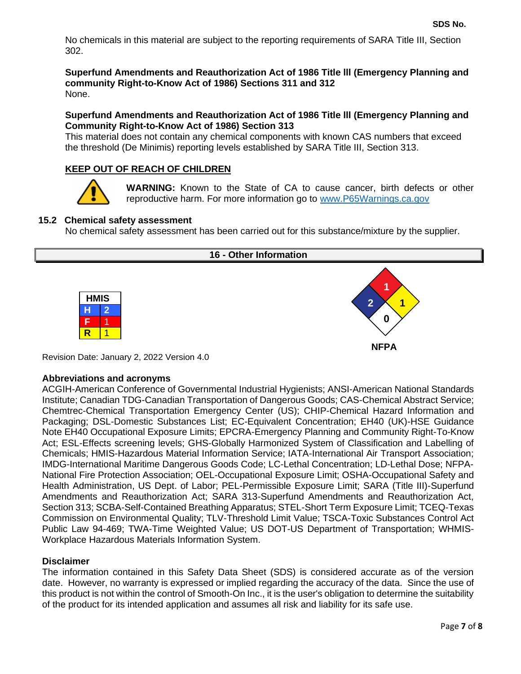No chemicals in this material are subject to the reporting requirements of SARA Title III, Section 302.

**Superfund Amendments and Reauthorization Act of 1986 Title lll (Emergency Planning and community Right-to-Know Act of 1986) Sections 311 and 312** None.

## **Superfund Amendments and Reauthorization Act of 1986 Title lll (Emergency Planning and Community Right-to-Know Act of 1986) Section 313**

This material does not contain any chemical components with known CAS numbers that exceed the threshold (De Minimis) reporting levels established by SARA Title III, Section 313.

## **KEEP OUT OF REACH OF CHILDREN**



**WARNING:** Known to the State of CA to cause cancer, birth defects or other reproductive harm. For more information go to [www.P65Warnings.ca.gov](http://www.p65warnings.ca.gov/)

## **15.2 Chemical safety assessment**

No chemical safety assessment has been carried out for this substance/mixture by the supplier.

#### **16 - Other Information**





Revision Date: January 2, 2022 Version 4.0

#### **Abbreviations and acronyms**

ACGIH-American Conference of Governmental Industrial Hygienists; ANSI-American National Standards Institute; Canadian TDG-Canadian Transportation of Dangerous Goods; CAS-Chemical Abstract Service; Chemtrec-Chemical Transportation Emergency Center (US); CHIP-Chemical Hazard Information and Packaging; DSL-Domestic Substances List; EC-Equivalent Concentration; EH40 (UK)-HSE Guidance Note EH40 Occupational Exposure Limits; EPCRA-Emergency Planning and Community Right-To-Know Act; ESL-Effects screening levels; GHS-Globally Harmonized System of Classification and Labelling of Chemicals; HMIS-Hazardous Material Information Service; IATA-International Air Transport Association; IMDG-International Maritime Dangerous Goods Code; LC-Lethal Concentration; LD-Lethal Dose; NFPA-National Fire Protection Association; OEL-Occupational Exposure Limit; OSHA-Occupational Safety and Health Administration, US Dept. of Labor; PEL-Permissible Exposure Limit; SARA (Title III)-Superfund Amendments and Reauthorization Act; SARA 313-Superfund Amendments and Reauthorization Act, Section 313; SCBA-Self-Contained Breathing Apparatus; STEL-Short Term Exposure Limit; TCEQ-Texas Commission on Environmental Quality; TLV-Threshold Limit Value; TSCA-Toxic Substances Control Act Public Law 94-469; TWA-Time Weighted Value; US DOT-US Department of Transportation; WHMIS-Workplace Hazardous Materials Information System.

#### **Disclaimer**

The information contained in this Safety Data Sheet (SDS) is considered accurate as of the version date. However, no warranty is expressed or implied regarding the accuracy of the data. Since the use of this product is not within the control of Smooth-On Inc., it is the user's obligation to determine the suitability of the product for its intended application and assumes all risk and liability for its safe use.